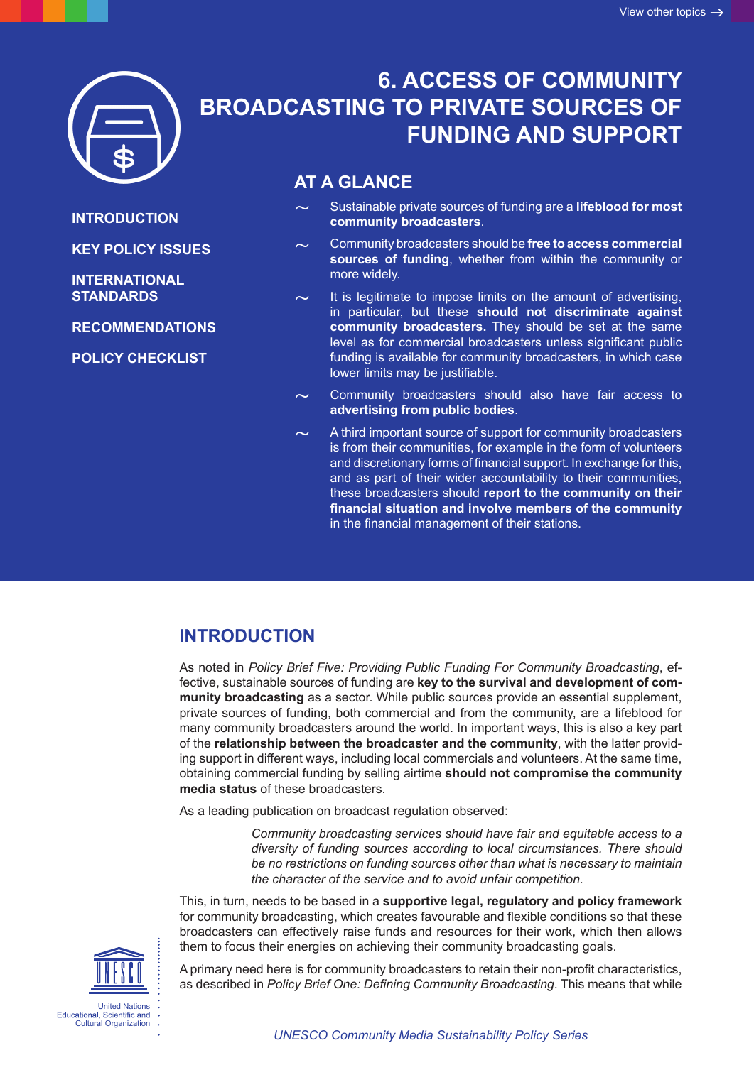

**INTRODUCTION**

**[INTERNATIONAL](#page-2-0)  [STANDARDS](#page-2-0)**

**[KEY POLICY ISSUES](#page-1-0)**

**[RECOMMENDATIONS](#page-2-0)**

**[POLICY CHECKLIST](#page-3-0)**

# **6. ACCESS OF COMMUNITY BROADCASTING TO PRIVATE SOURCES OF FUNDING AND SUPPORT**

### **AT A GLANCE**

~ Sustainable private sources of funding are a **lifeblood for most community broadcasters**.

~ Community broadcasters should be **free to access commercial sources of funding**, whether from within the community or more widely.

It is legitimate to impose limits on the amount of advertising, in particular, but these **should not discriminate against community broadcasters.** They should be set at the same level as for commercial broadcasters unless significant public funding is available for community broadcasters, in which case lower limits may be justifiable.

Community broadcasters should also have fair access to **advertising from public bodies**.

A third important source of support for community broadcasters is from their communities, for example in the form of volunteers and discretionary forms of financial support. In exchange for this, and as part of their wider accountability to their communities, these broadcasters should **report to the community on their financial situation and involve members of the community** in the financial management of their stations.

# **INTRODUCTION**

As noted in *Policy Brief Five: Providing Public Funding For Community Broadcasting*, effective, sustainable sources of funding are **key to the survival and development of community broadcasting** as a sector. While public sources provide an essential supplement, private sources of funding, both commercial and from the community, are a lifeblood for many community broadcasters around the world. In important ways, this is also a key part of the **relationship between the broadcaster and the community**, with the latter providing support in different ways, including local commercials and volunteers. At the same time, obtaining commercial funding by selling airtime **should not compromise the community media status** of these broadcasters.

As a leading publication on broadcast regulation observed:

*Community broadcasting services should have fair and equitable access to a diversity of funding sources according to local circumstances. There should be no restrictions on funding sources other than what is necessary to maintain the character of the service and to avoid unfair competition.* 

This, in turn, needs to be based in a **supportive legal, regulatory and policy framework** for community broadcasting, which creates favourable and flexible conditions so that these broadcasters can effectively raise funds and resources for their work, which then allows them to focus their energies on achieving their community broadcasting goals.

United Nations Educational, Scientific and<br>Cultural Organization

A primary need here is for community broadcasters to retain their non-profit characteristics, as described in *Policy Brief One: Defining Community Broadcasting*. This means that while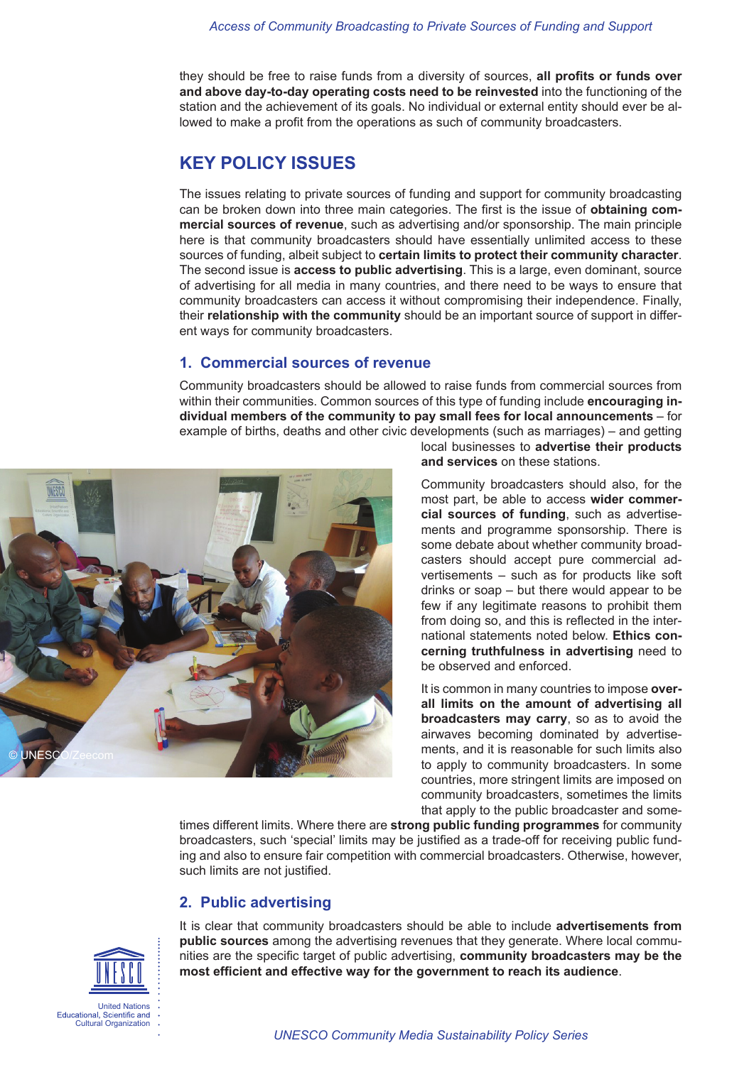#### *Access of Community Broadcasting to Private Sources of Funding and Support*

<span id="page-1-0"></span>they should be free to raise funds from a diversity of sources, **all profits or funds over and above day-to-day operating costs need to be reinvested** into the functioning of the station and the achievement of its goals. No individual or external entity should ever be allowed to make a profit from the operations as such of community broadcasters.

### **KEY POLICY ISSUES**

The issues relating to private sources of funding and support for community broadcasting can be broken down into three main categories. The first is the issue of **obtaining commercial sources of revenue**, such as advertising and/or sponsorship. The main principle here is that community broadcasters should have essentially unlimited access to these sources of funding, albeit subject to **certain limits to protect their community character**. The second issue is **access to public advertising**. This is a large, even dominant, source of advertising for all media in many countries, and there need to be ways to ensure that community broadcasters can access it without compromising their independence. Finally, their **relationship with the community** should be an important source of support in different ways for community broadcasters.

#### **1. Commercial sources of revenue**

Community broadcasters should be allowed to raise funds from commercial sources from within their communities. Common sources of this type of funding include **encouraging individual members of the community to pay small fees for local announcements** – for example of births, deaths and other civic developments (such as marriages) – and getting



local businesses to **advertise their products and services** on these stations.

Community broadcasters should also, for the most part, be able to access **wider commercial sources of funding**, such as advertisements and programme sponsorship. There is some debate about whether community broadcasters should accept pure commercial advertisements – such as for products like soft drinks or soap – but there would appear to be few if any legitimate reasons to prohibit them from doing so, and this is reflected in the international statements noted below. **Ethics concerning truthfulness in advertising** need to be observed and enforced.

It is common in many countries to impose **overall limits on the amount of advertising all broadcasters may carry**, so as to avoid the airwaves becoming dominated by advertisements, and it is reasonable for such limits also to apply to community broadcasters. In some countries, more stringent limits are imposed on community broadcasters, sometimes the limits that apply to the public broadcaster and some-

times different limits. Where there are **strong public funding programmes** for community broadcasters, such 'special' limits may be justified as a trade-off for receiving public funding and also to ensure fair competition with commercial broadcasters. Otherwise, however, such limits are not justified.

### **2. Public advertising**

It is clear that community broadcasters should be able to include **advertisements from public sources** among the advertising revenues that they generate. Where local communities are the specific target of public advertising, **community broadcasters may be the most efficient and effective way for the government to reach its audience**.

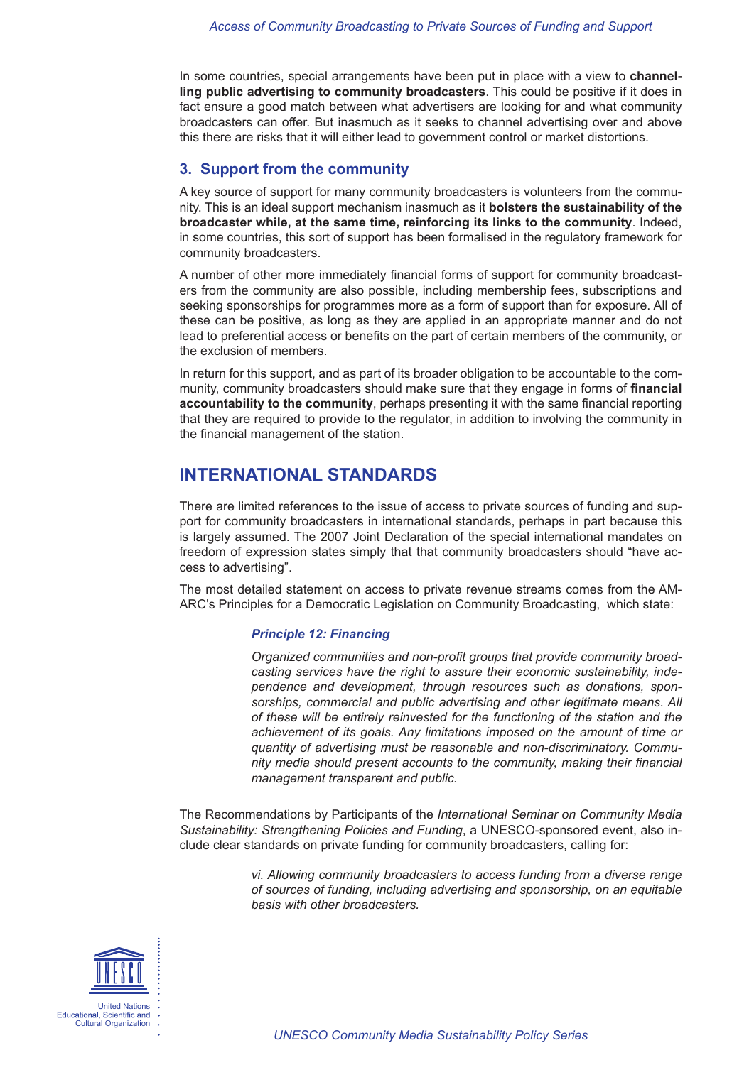<span id="page-2-0"></span>In some countries, special arrangements have been put in place with a view to **channelling public advertising to community broadcasters**. This could be positive if it does in fact ensure a good match between what advertisers are looking for and what community broadcasters can offer. But inasmuch as it seeks to channel advertising over and above this there are risks that it will either lead to government control or market distortions.

#### **3. Support from the community**

A key source of support for many community broadcasters is volunteers from the community. This is an ideal support mechanism inasmuch as it **bolsters the sustainability of the broadcaster while, at the same time, reinforcing its links to the community**. Indeed, in some countries, this sort of support has been formalised in the regulatory framework for community broadcasters.

A number of other more immediately financial forms of support for community broadcasters from the community are also possible, including membership fees, subscriptions and seeking sponsorships for programmes more as a form of support than for exposure. All of these can be positive, as long as they are applied in an appropriate manner and do not lead to preferential access or benefits on the part of certain members of the community, or the exclusion of members.

In return for this support, and as part of its broader obligation to be accountable to the community, community broadcasters should make sure that they engage in forms of **financial accountability to the community**, perhaps presenting it with the same financial reporting that they are required to provide to the regulator, in addition to involving the community in the financial management of the station.

### **INTERNATIONAL STANDARDS**

There are limited references to the issue of access to private sources of funding and support for community broadcasters in international standards, perhaps in part because this is largely assumed. The 2007 Joint Declaration of the special international mandates on freedom of expression states simply that that community broadcasters should "have access to advertising".

The most detailed statement on access to private revenue streams comes from the AM-ARC's Principles for a Democratic Legislation on Community Broadcasting, which state:

#### *Principle 12: Financing*

*Organized communities and non-profit groups that provide community broadcasting services have the right to assure their economic sustainability, independence and development, through resources such as donations, sponsorships, commercial and public advertising and other legitimate means. All of these will be entirely reinvested for the functioning of the station and the achievement of its goals. Any limitations imposed on the amount of time or quantity of advertising must be reasonable and non-discriminatory. Community media should present accounts to the community, making their financial management transparent and public.* 

The Recommendations by Participants of the *International Seminar on Community Media Sustainability: Strengthening Policies and Funding*, a UNESCO-sponsored event, also include clear standards on private funding for community broadcasters, calling for:

> *vi. Allowing community broadcasters to access funding from a diverse range of sources of funding, including advertising and sponsorship, on an equitable basis with other broadcasters.*